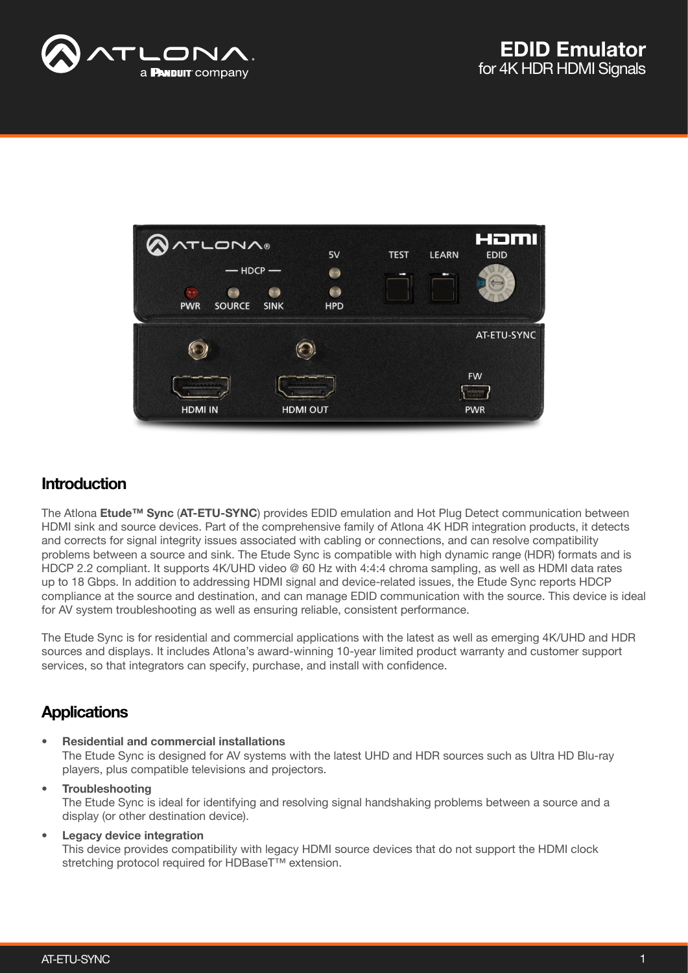



## **Introduction**

The Atlona Etude<sup>™</sup> Sync (AT-ETU-SYNC) provides EDID emulation and Hot Plug Detect communication between HDMI sink and source devices. Part of the comprehensive family of Atlona 4K HDR integration products, it detects and corrects for signal integrity issues associated with cabling or connections, and can resolve compatibility problems between a source and sink. The Etude Sync is compatible with high dynamic range (HDR) formats and is HDCP 2.2 compliant. It supports 4K/UHD video @ 60 Hz with 4:4:4 chroma sampling, as well as HDMI data rates up to 18 Gbps. In addition to addressing HDMI signal and device-related issues, the Etude Sync reports HDCP compliance at the source and destination, and can manage EDID communication with the source. This device is ideal for AV system troubleshooting as well as ensuring reliable, consistent performance.

The Etude Sync is for residential and commercial applications with the latest as well as emerging 4K/UHD and HDR sources and displays. It includes Atlona's award-winning 10-year limited product warranty and customer support services, so that integrators can specify, purchase, and install with confidence.

# **Applications**

- Residential and commercial installations The Etude Sync is designed for AV systems with the latest UHD and HDR sources such as Ultra HD Blu-ray players, plus compatible televisions and projectors.
- **Troubleshooting** The Etude Sync is ideal for identifying and resolving signal handshaking problems between a source and a display (or other destination device).

#### Legacy device integration

This device provides compatibility with legacy HDMI source devices that do not support the HDMI clock stretching protocol required for HDBaseT<sup>™</sup> extension.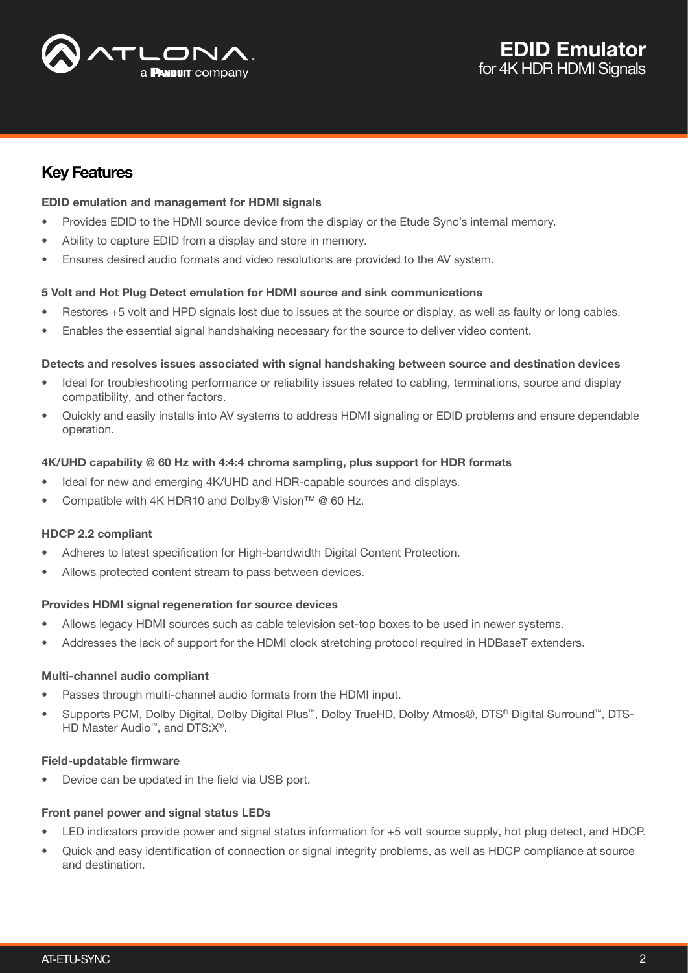

## Key Features

## EDID emulation and management for HDMI signals

- Provides EDID to the HDMI source device from the display or the Etude Sync's internal memory.
- Ability to capture EDID from a display and store in memory.
- Ensures desired audio formats and video resolutions are provided to the AV system.

## 5 Volt and Hot Plug Detect emulation for HDMI source and sink communications

- Restores +5 volt and HPD signals lost due to issues at the source or display, as well as faulty or long cables.
- Enables the essential signal handshaking necessary for the source to deliver video content.

#### Detects and resolves issues associated with signal handshaking between source and destination devices

- Ideal for troubleshooting performance or reliability issues related to cabling, terminations, source and display compatibility, and other factors.
- Quickly and easily installs into AV systems to address HDMI signaling or EDID problems and ensure dependable operation.

#### 4K/UHD capability @ 60 Hz with 4:4:4 chroma sampling, plus support for HDR formats

- Ideal for new and emerging 4K/UHD and HDR-capable sources and displays.
- Compatible with 4K HDR10 and Dolby® Vision™ @ 60 Hz.

## HDCP 2.2 compliant

- Adheres to latest specification for High-bandwidth Digital Content Protection.
- Allows protected content stream to pass between devices.

## Provides HDMI signal regeneration for source devices

- Allows legacy HDMI sources such as cable television set-top boxes to be used in newer systems.
- Addresses the lack of support for the HDMI clock stretching protocol required in HDBaseT extenders.

## Multi-channel audio compliant

- Passes through multi-channel audio formats from the HDMI input.
- Supports PCM, Dolby Digital, Dolby Digital Plus™, Dolby TrueHD, Dolby Atmos®, DTS® Digital Surround™, DTS-HD Master Audio™, and DTS:X<sup>®</sup>.

## Field-updatable firmware

Device can be updated in the field via USB port.

## Front panel power and signal status LEDs

- LED indicators provide power and signal status information for +5 volt source supply, hot plug detect, and HDCP.
- Quick and easy identification of connection or signal integrity problems, as well as HDCP compliance at source and destination.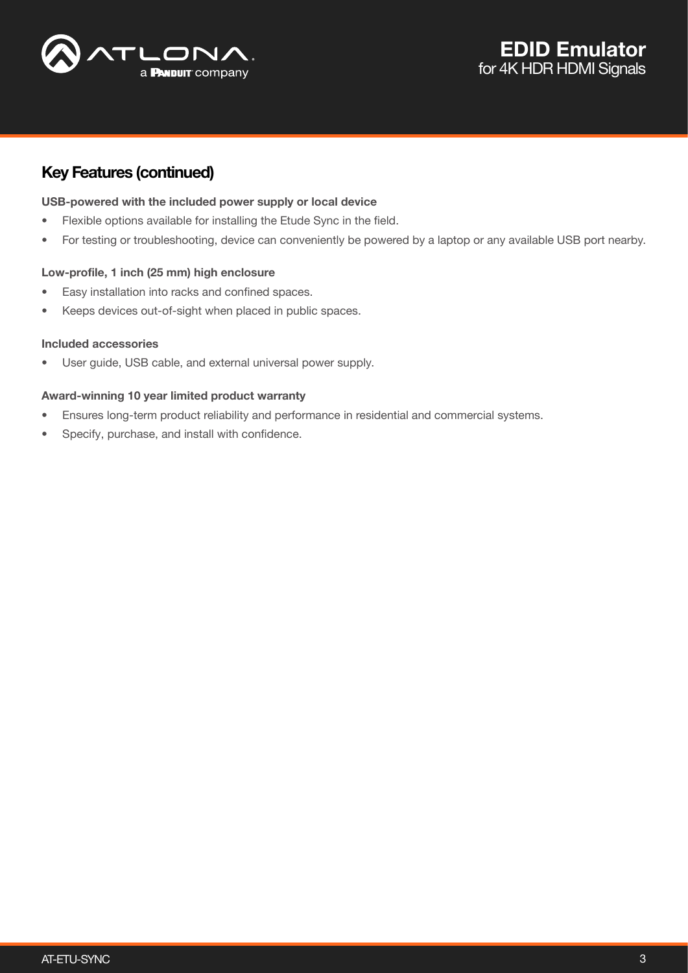

# Key Features (continued)

#### USB-powered with the included power supply or local device

- Flexible options available for installing the Etude Sync in the field.
- For testing or troubleshooting, device can conveniently be powered by a laptop or any available USB port nearby.

#### Low-profile, 1 inch (25 mm) high enclosure

- Easy installation into racks and confined spaces.
- Keeps devices out-of-sight when placed in public spaces.

#### Included accessories

User guide, USB cable, and external universal power supply.

#### Award-winning 10 year limited product warranty

- Ensures long-term product reliability and performance in residential and commercial systems.
- Specify, purchase, and install with confidence.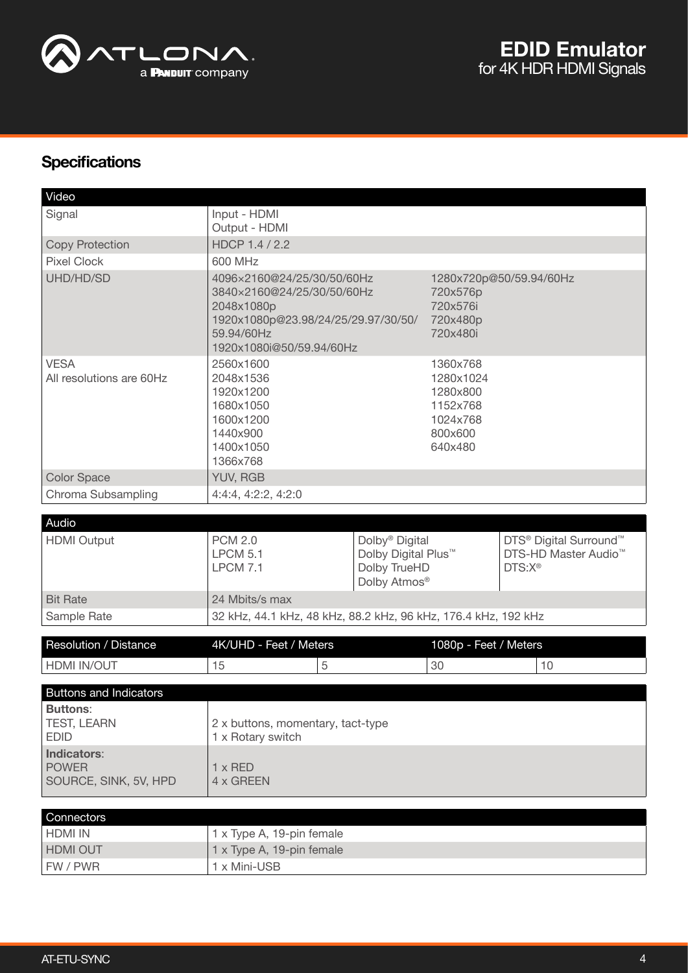

# **Specifications**

| Video                                                                                 |                                                                                                                                                         |                                                                                               |                                                                                 |                                                                                                          |  |
|---------------------------------------------------------------------------------------|---------------------------------------------------------------------------------------------------------------------------------------------------------|-----------------------------------------------------------------------------------------------|---------------------------------------------------------------------------------|----------------------------------------------------------------------------------------------------------|--|
| Signal                                                                                | Input - HDMI<br>Output - HDMI                                                                                                                           |                                                                                               |                                                                                 |                                                                                                          |  |
| <b>Copy Protection</b>                                                                | HDCP 1.4 / 2.2                                                                                                                                          |                                                                                               |                                                                                 |                                                                                                          |  |
| <b>Pixel Clock</b>                                                                    | 600 MHz                                                                                                                                                 |                                                                                               |                                                                                 |                                                                                                          |  |
| UHD/HD/SD                                                                             | 4096×2160@24/25/30/50/60Hz<br>3840×2160@24/25/30/50/60Hz<br>2048x1080p<br>1920x1080p@23.98/24/25/29.97/30/50/<br>59.94/60Hz<br>1920x1080i@50/59.94/60Hz |                                                                                               | 720x576p<br>720x576i<br>720x480p<br>720x480i                                    | 1280x720p@50/59.94/60Hz                                                                                  |  |
| <b>VESA</b><br>All resolutions are 60Hz                                               | 2560x1600<br>2048x1536<br>1920x1200<br>1680x1050<br>1600x1200<br>1440×900<br>1400x1050<br>1366x768                                                      |                                                                                               | 1360x768<br>1280x1024<br>1280x800<br>1152x768<br>1024x768<br>800x600<br>640x480 |                                                                                                          |  |
| <b>Color Space</b>                                                                    | YUV, RGB                                                                                                                                                |                                                                                               |                                                                                 |                                                                                                          |  |
| Chroma Subsampling                                                                    | 4:4:4, 4:2:2, 4:2:0                                                                                                                                     |                                                                                               |                                                                                 |                                                                                                          |  |
|                                                                                       |                                                                                                                                                         |                                                                                               |                                                                                 |                                                                                                          |  |
| Audio<br><b>HDMI</b> Output                                                           | <b>PCM 2.0</b><br><b>LPCM 5.1</b><br><b>LPCM 7.1</b>                                                                                                    | Dolby <sup>®</sup> Digital<br>Dolby Digital Plus <sup>™</sup><br>Dolby TrueHD<br>Dolby Atmos® |                                                                                 | DTS <sup>®</sup> Digital Surround <sup>™</sup><br>DTS-HD Master Audio <sup>™</sup><br>DTS:X <sup>®</sup> |  |
| <b>Bit Rate</b>                                                                       | 24 Mbits/s max                                                                                                                                          |                                                                                               |                                                                                 |                                                                                                          |  |
| Sample Rate                                                                           | 32 kHz, 44.1 kHz, 48 kHz, 88.2 kHz, 96 kHz, 176.4 kHz, 192 kHz                                                                                          |                                                                                               |                                                                                 |                                                                                                          |  |
|                                                                                       |                                                                                                                                                         |                                                                                               |                                                                                 |                                                                                                          |  |
| <b>Resolution / Distance</b>                                                          | 4K/UHD - Feet / Meters                                                                                                                                  |                                                                                               | 1080p - Feet / Meters                                                           |                                                                                                          |  |
| HDMI IN/OUT                                                                           | 15<br>5                                                                                                                                                 |                                                                                               | 30                                                                              | 10                                                                                                       |  |
|                                                                                       |                                                                                                                                                         |                                                                                               |                                                                                 |                                                                                                          |  |
| <b>Buttons and Indicators</b><br><b>Buttons:</b><br><b>TEST, LEARN</b><br><b>EDID</b> | 2 x buttons, momentary, tact-type<br>1 x Rotary switch                                                                                                  |                                                                                               |                                                                                 |                                                                                                          |  |
| Indicators:<br><b>POWER</b><br>SOURCE, SINK, 5V, HPD                                  | $1 \times$ RED<br>4 x GREEN                                                                                                                             |                                                                                               |                                                                                 |                                                                                                          |  |
| Connectors                                                                            |                                                                                                                                                         |                                                                                               |                                                                                 |                                                                                                          |  |
| <b>HDMI IN</b>                                                                        | 1 x Type A, 19-pin female                                                                                                                               |                                                                                               |                                                                                 |                                                                                                          |  |
| HDMI OUT                                                                              | 1 x Type A, 19-pin female                                                                                                                               |                                                                                               |                                                                                 |                                                                                                          |  |
| FW / PWR                                                                              | 1 x Mini-USB                                                                                                                                            |                                                                                               |                                                                                 |                                                                                                          |  |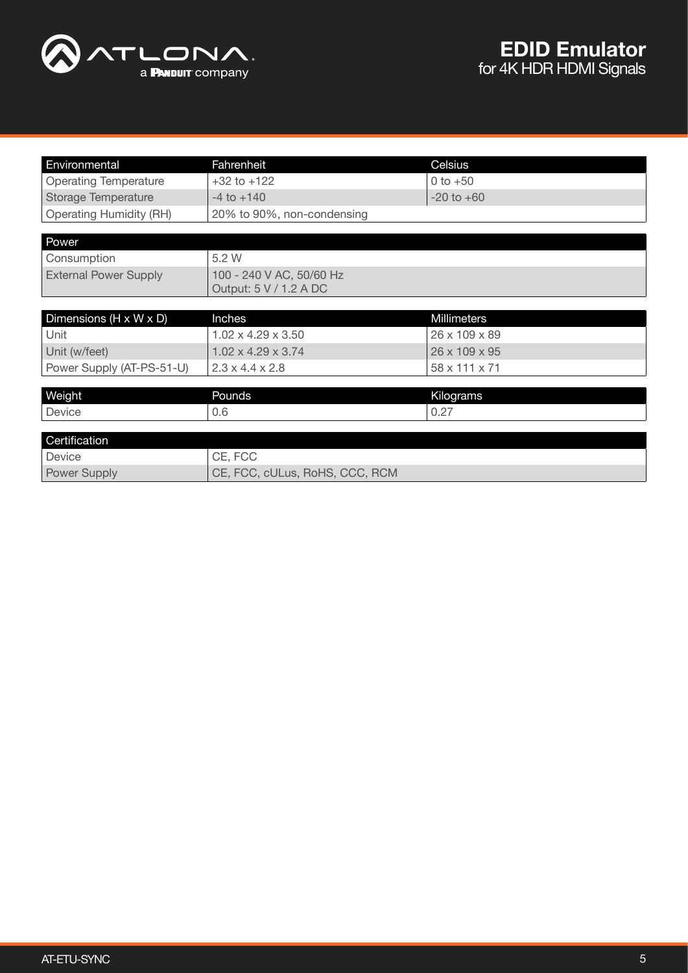

| Environmental                  | Fahrenheit                     | Celsius        |  |
|--------------------------------|--------------------------------|----------------|--|
| <b>Operating Temperature</b>   | $+32$ to $+122$                | 0 to $+50$     |  |
| <b>Storage Temperature</b>     | $-4$ to $+140$                 | $-20$ to $+60$ |  |
| <b>Operating Humidity (RH)</b> | 20% to 90%, non-condensing     |                |  |
|                                |                                |                |  |
| Power                          |                                |                |  |
| Consumption                    | 5.2 W                          |                |  |
| <b>External Power Supply</b>   | 100 - 240 V AC, 50/60 Hz       |                |  |
|                                | Output: 5 V / 1.2 A DC         |                |  |
|                                |                                |                |  |
| Dimensions (H x W x D)         | Inches                         | Millimeters    |  |
| Unit                           | $1.02 \times 4.29 \times 3.50$ | 26 x 109 x 89  |  |
| Unit (w/feet)                  | $1.02 \times 4.29 \times 3.74$ | 26 x 109 x 95  |  |
| Power Supply (AT-PS-51-U)      | $2.3 \times 4.4 \times 2.8$    | 58 x 111 x 71  |  |
|                                |                                |                |  |
| Weight                         | Pounds                         | Kilograms      |  |
| Device                         | 0.6                            | 0.27           |  |
|                                |                                |                |  |
| Certification                  |                                |                |  |
| Device                         | CE, FCC                        |                |  |
| Power Supply                   | CE, FCC, cULus, RoHS, CCC, RCM |                |  |